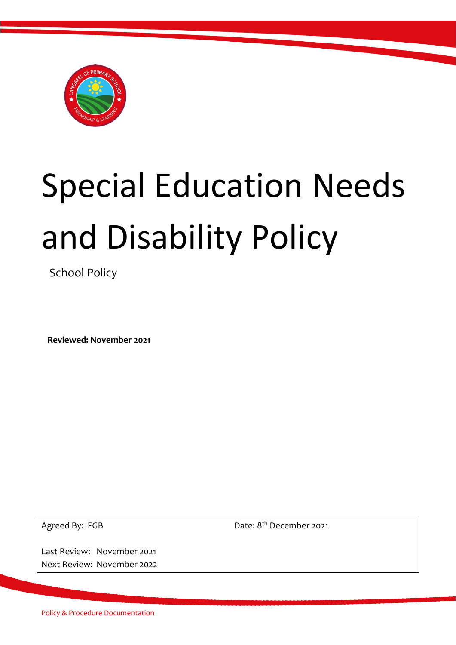

# Special Education Needs and Disability Policy

School Policy

 **Reviewed: November 2021**

Agreed By: FGB

Last Review: November 2021 Next Review: November 2022 Date: 8<sup>th</sup> December 2021

Policy & Procedure Documentation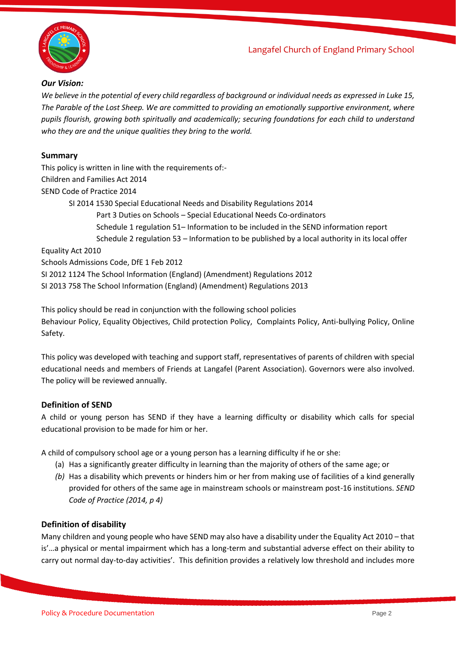

#### *Our Vision:*

*We believe in the potential of every child regardless of background or individual needs as expressed in Luke 15, The Parable of the Lost Sheep. We are committed to providing an emotionally supportive environment, where pupils flourish, growing both spiritually and academically; securing foundations for each child to understand who they are and the unique qualities they bring to the world.*

#### **Summary**

This policy is written in line with the requirements of:- Children and Families Act 2014 SEND Code of Practice 2014 SI 2014 1530 Special Educational Needs and Disability Regulations 2014 Part 3 Duties on Schools – Special Educational Needs Co-ordinators Schedule 1 regulation 51– Information to be included in the SEND information report Schedule 2 regulation 53 – Information to be published by a local authority in its local offer Equality Act 2010 Schools Admissions Code, DfE 1 Feb 2012 SI 2012 1124 The School Information (England) (Amendment) Regulations 2012 SI 2013 758 The School Information (England) (Amendment) Regulations 2013

This policy should be read in conjunction with the following school policies Behaviour Policy, Equality Objectives, Child protection Policy, Complaints Policy, Anti-bullying Policy, Online Safety.

This policy was developed with teaching and support staff, representatives of parents of children with special educational needs and members of Friends at Langafel (Parent Association). Governors were also involved. The policy will be reviewed annually.

#### **Definition of SEND**

A child or young person has SEND if they have a learning difficulty or disability which calls for special educational provision to be made for him or her.

A child of compulsory school age or a young person has a learning difficulty if he or she:

- (a) Has a significantly greater difficulty in learning than the majority of others of the same age; or
- *(b)* Has a disability which prevents or hinders him or her from making use of facilities of a kind generally provided for others of the same age in mainstream schools or mainstream post-16 institutions. *SEND Code of Practice (2014, p 4)*

#### **Definition of disability**

Many children and young people who have SEND may also have a disability under the Equality Act 2010 – that is'…a physical or mental impairment which has a long-term and substantial adverse effect on their ability to carry out normal day-to-day activities'. This definition provides a relatively low threshold and includes more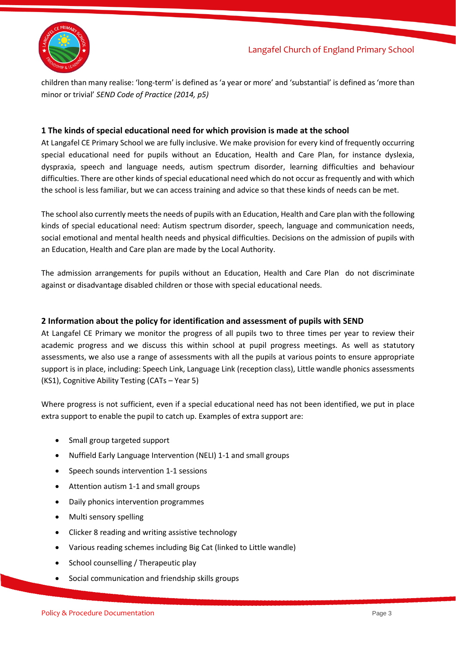

children than many realise: 'long-term' is defined as 'a year or more' and 'substantial' is defined as 'more than minor or trivial' *SEND Code of Practice (2014, p5)*

#### **1 The kinds of special educational need for which provision is made at the school**

At Langafel CE Primary School we are fully inclusive. We make provision for every kind of frequently occurring special educational need for pupils without an Education, Health and Care Plan, for instance dyslexia, dyspraxia, speech and language needs, autism spectrum disorder, learning difficulties and behaviour difficulties. There are other kinds of special educational need which do not occur as frequently and with which the school is less familiar, but we can access training and advice so that these kinds of needs can be met.

The school also currently meets the needs of pupils with an Education, Health and Care plan with the following kinds of special educational need: Autism spectrum disorder, speech, language and communication needs, social emotional and mental health needs and physical difficulties. Decisions on the admission of pupils with an Education, Health and Care plan are made by the Local Authority.

The admission arrangements for pupils without an Education, Health and Care Plan do not discriminate against or disadvantage disabled children or those with special educational needs.

#### **2 Information about the policy for identification and assessment of pupils with SEND**

At Langafel CE Primary we monitor the progress of all pupils two to three times per year to review their academic progress and we discuss this within school at pupil progress meetings. As well as statutory assessments, we also use a range of assessments with all the pupils at various points to ensure appropriate support is in place, including: Speech Link, Language Link (reception class), Little wandle phonics assessments (KS1), Cognitive Ability Testing (CATs – Year 5)

Where progress is not sufficient, even if a special educational need has not been identified, we put in place extra support to enable the pupil to catch up. Examples of extra support are:

- Small group targeted support
- Nuffield Early Language Intervention (NELI) 1-1 and small groups
- Speech sounds intervention 1-1 sessions
- Attention autism 1-1 and small groups
- Daily phonics intervention programmes
- Multi sensory spelling
- Clicker 8 reading and writing assistive technology
- Various reading schemes including Big Cat (linked to Little wandle)
- School counselling / Therapeutic play
- Social communication and friendship skills groups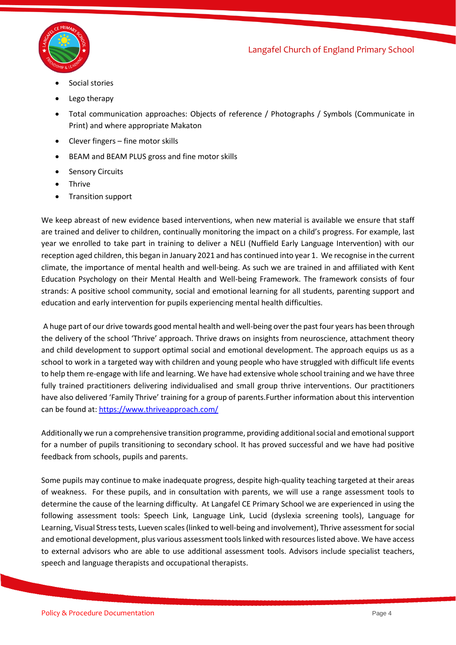

- Social stories
- Lego therapy
- Total communication approaches: Objects of reference / Photographs / Symbols (Communicate in Print) and where appropriate Makaton
- Clever fingers fine motor skills
- BEAM and BEAM PLUS gross and fine motor skills
- **Sensory Circuits**
- Thrive
- Transition support

We keep abreast of new evidence based interventions, when new material is available we ensure that staff are trained and deliver to children, continually monitoring the impact on a child's progress. For example, last year we enrolled to take part in training to deliver a NELI (Nuffield Early Language Intervention) with our reception aged children, this began in January 2021 and has continued into year 1. We recognise in the current climate, the importance of mental health and well-being. As such we are trained in and affiliated with Kent Education Psychology on their Mental Health and Well-being Framework. The framework consists of four strands: A positive school community, social and emotional learning for all students, parenting support and education and early intervention for pupils experiencing mental health difficulties.

A huge part of our drive towards good mental health and well-being over the past four years has been through the delivery of the school 'Thrive' approach. Thrive draws on insights from neuroscience, attachment theory and child development to support optimal social and emotional development. The approach equips us as a school to work in a targeted way with children and young people who have struggled with difficult life events to help them re-engage with life and learning. We have had extensive whole school training and we have three fully trained practitioners delivering individualised and small group thrive interventions. Our practitioners have also delivered 'Family Thrive' training for a group of parents.Further information about this intervention can be found at:<https://www.thriveapproach.com/>

Additionally we run a comprehensive transition programme, providing additional social and emotional support for a number of pupils transitioning to secondary school. It has proved successful and we have had positive feedback from schools, pupils and parents.

Some pupils may continue to make inadequate progress, despite high-quality teaching targeted at their areas of weakness. For these pupils, and in consultation with parents, we will use a range assessment tools to determine the cause of the learning difficulty. At Langafel CE Primary School we are experienced in using the following assessment tools: Speech Link, Language Link, Lucid (dyslexia screening tools), Language for Learning, Visual Stress tests, Lueven scales(linked to well-being and involvement), Thrive assessment for social and emotional development, plus various assessment tools linked with resources listed above. We have access to external advisors who are able to use additional assessment tools. Advisors include specialist teachers, speech and language therapists and occupational therapists.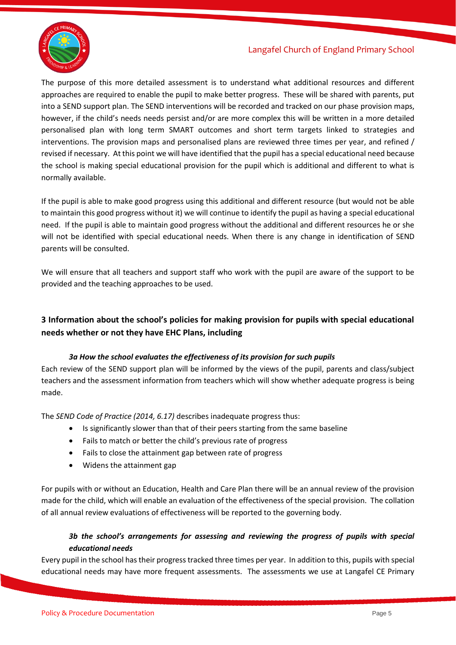

The purpose of this more detailed assessment is to understand what additional resources and different approaches are required to enable the pupil to make better progress. These will be shared with parents, put into a SEND support plan. The SEND interventions will be recorded and tracked on our phase provision maps, however, if the child's needs needs persist and/or are more complex this will be written in a more detailed personalised plan with long term SMART outcomes and short term targets linked to strategies and interventions. The provision maps and personalised plans are reviewed three times per year, and refined / revised if necessary. At this point we will have identified that the pupil has a special educational need because the school is making special educational provision for the pupil which is additional and different to what is normally available.

If the pupil is able to make good progress using this additional and different resource (but would not be able to maintain this good progress without it) we will continue to identify the pupil as having a special educational need. If the pupil is able to maintain good progress without the additional and different resources he or she will not be identified with special educational needs. When there is any change in identification of SEND parents will be consulted.

We will ensure that all teachers and support staff who work with the pupil are aware of the support to be provided and the teaching approaches to be used.

## **3 Information about the school's policies for making provision for pupils with special educational needs whether or not they have EHC Plans, including**

#### *3a How the school evaluates the effectiveness of its provision for such pupils*

Each review of the SEND support plan will be informed by the views of the pupil, parents and class/subject teachers and the assessment information from teachers which will show whether adequate progress is being made.

The *SEND Code of Practice (2014, 6.17)* describes inadequate progress thus:

- Is significantly slower than that of their peers starting from the same baseline
- Fails to match or better the child's previous rate of progress
- Fails to close the attainment gap between rate of progress
- Widens the attainment gap

For pupils with or without an Education, Health and Care Plan there will be an annual review of the provision made for the child, which will enable an evaluation of the effectiveness of the special provision. The collation of all annual review evaluations of effectiveness will be reported to the governing body.

## *3b the school's arrangements for assessing and reviewing the progress of pupils with special educational needs*

Every pupil in the school has their progress tracked three times per year. In addition to this, pupils with special educational needs may have more frequent assessments. The assessments we use at Langafel CE Primary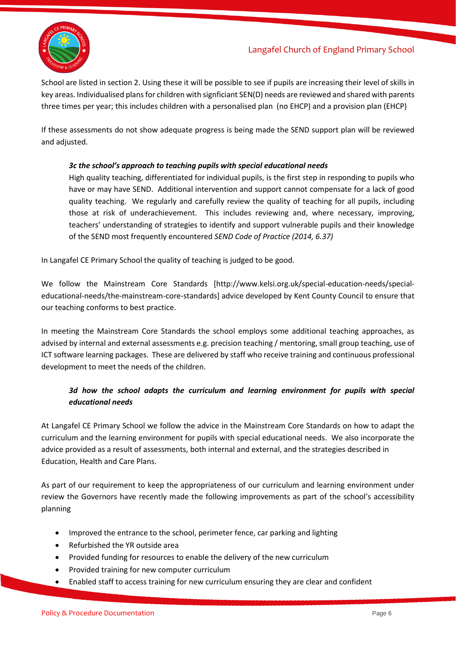

School are listed in section 2. Using these it will be possible to see if pupils are increasing their level of skills in key areas. Individualised plans for children with signficiant SEN(D) needs are reviewed and shared with parents three times per year; this includes children with a personalised plan (no EHCP) and a provision plan (EHCP)

If these assessments do not show adequate progress is being made the SEND support plan will be reviewed and adjusted.

#### *3c the school's approach to teaching pupils with special educational needs*

High quality teaching, differentiated for individual pupils, is the first step in responding to pupils who have or may have SEND. Additional intervention and support cannot compensate for a lack of good quality teaching. We regularly and carefully review the quality of teaching for all pupils, including those at risk of underachievement. This includes reviewing and, where necessary, improving, teachers' understanding of strategies to identify and support vulnerable pupils and their knowledge of the SEND most frequently encountered *SEND Code of Practice (2014, 6.37)*

In Langafel CE Primary School the quality of teaching is judged to be good.

We follow the Mainstream Core Standards [http://www.kelsi.org.uk/special-education-needs/specialeducational-needs/the-mainstream-core-standards] advice developed by Kent County Council to ensure that our teaching conforms to best practice.

In meeting the Mainstream Core Standards the school employs some additional teaching approaches, as advised by internal and external assessments e.g. precision teaching / mentoring, small group teaching, use of ICT software learning packages. These are delivered by staff who receive training and continuous professional development to meet the needs of the children.

## *3d how the school adapts the curriculum and learning environment for pupils with special educational needs*

At Langafel CE Primary School we follow the advice in the Mainstream Core Standards on how to adapt the curriculum and the learning environment for pupils with special educational needs. We also incorporate the advice provided as a result of assessments, both internal and external, and the strategies described in Education, Health and Care Plans.

As part of our requirement to keep the appropriateness of our curriculum and learning environment under review the Governors have recently made the following improvements as part of the school's accessibility planning

- Improved the entrance to the school, perimeter fence, car parking and lighting
- Refurbished the YR outside area
- Provided funding for resources to enable the delivery of the new curriculum
- Provided training for new computer curriculum
- Enabled staff to access training for new curriculum ensuring they are clear and confident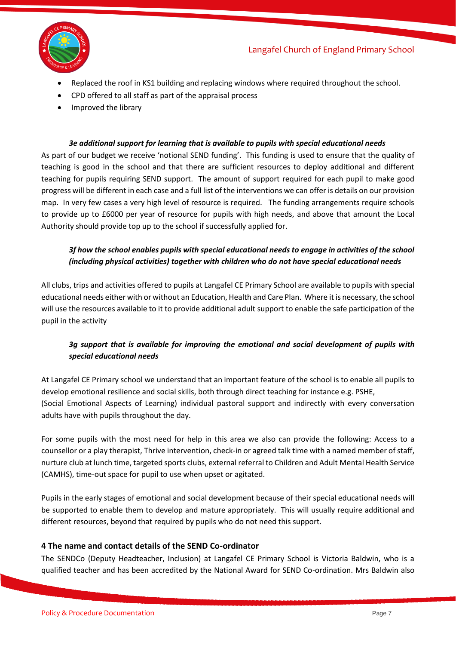

- Replaced the roof in KS1 building and replacing windows where required throughout the school.
- CPD offered to all staff as part of the appraisal process
- Improved the library

#### *3e additional support for learning that is available to pupils with special educational needs*

As part of our budget we receive 'notional SEND funding'. This funding is used to ensure that the quality of teaching is good in the school and that there are sufficient resources to deploy additional and different teaching for pupils requiring SEND support. The amount of support required for each pupil to make good progress will be different in each case and a full list of the interventions we can offer is details on our provision map. In very few cases a very high level of resource is required. The funding arrangements require schools to provide up to £6000 per year of resource for pupils with high needs, and above that amount the Local Authority should provide top up to the school if successfully applied for.

## *3f how the school enables pupils with special educational needs to engage in activities of the school (including physical activities) together with children who do not have special educational needs*

All clubs, trips and activities offered to pupils at Langafel CE Primary School are available to pupils with special educational needs either with or without an Education, Health and Care Plan. Where it is necessary, the school will use the resources available to it to provide additional adult support to enable the safe participation of the pupil in the activity

## *3g support that is available for improving the emotional and social development of pupils with special educational needs*

At Langafel CE Primary school we understand that an important feature of the school is to enable all pupils to develop emotional resilience and social skills, both through direct teaching for instance e.g. PSHE, (Social Emotional Aspects of Learning) individual pastoral support and indirectly with every conversation adults have with pupils throughout the day.

For some pupils with the most need for help in this area we also can provide the following: Access to a counsellor or a play therapist, Thrive intervention, check-in or agreed talk time with a named member of staff, nurture club at lunch time, targeted sports clubs, external referral to Children and Adult Mental Health Service (CAMHS), time-out space for pupil to use when upset or agitated.

Pupils in the early stages of emotional and social development because of their special educational needs will be supported to enable them to develop and mature appropriately. This will usually require additional and different resources, beyond that required by pupils who do not need this support.

#### **4 The name and contact details of the SEND Co-ordinator**

The SENDCo (Deputy Headteacher, Inclusion) at Langafel CE Primary School is Victoria Baldwin, who is a qualified teacher and has been accredited by the National Award for SEND Co-ordination. Mrs Baldwin also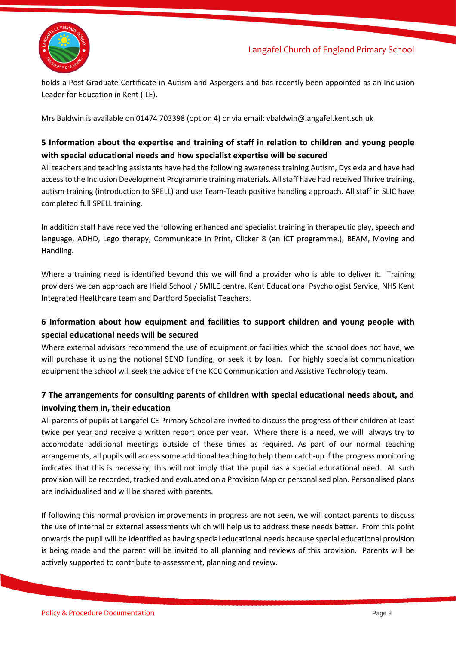

holds a Post Graduate Certificate in Autism and Aspergers and has recently been appointed as an Inclusion Leader for Education in Kent (ILE).

Mrs Baldwin is available on 01474 703398 (option 4) or via email: vbaldwin@langafel.kent.sch.uk

## **5 Information about the expertise and training of staff in relation to children and young people with special educational needs and how specialist expertise will be secured**

All teachers and teaching assistants have had the following awareness training Autism, Dyslexia and have had access to the Inclusion Development Programme training materials. All staff have had received Thrive training, autism training (introduction to SPELL) and use Team-Teach positive handling approach. All staff in SLIC have completed full SPELL training.

In addition staff have received the following enhanced and specialist training in therapeutic play, speech and language, ADHD, Lego therapy, Communicate in Print, Clicker 8 (an ICT programme.), BEAM, Moving and Handling.

Where a training need is identified beyond this we will find a provider who is able to deliver it. Training providers we can approach are Ifield School / SMILE centre, Kent Educational Psychologist Service, NHS Kent Integrated Healthcare team and Dartford Specialist Teachers.

## **6 Information about how equipment and facilities to support children and young people with special educational needs will be secured**

Where external advisors recommend the use of equipment or facilities which the school does not have, we will purchase it using the notional SEND funding, or seek it by loan. For highly specialist communication equipment the school will seek the advice of the KCC Communication and Assistive Technology team.

## **7 The arrangements for consulting parents of children with special educational needs about, and involving them in, their education**

All parents of pupils at Langafel CE Primary School are invited to discuss the progress of their children at least twice per year and receive a written report once per year. Where there is a need, we will always try to accomodate additional meetings outside of these times as required. As part of our normal teaching arrangements, all pupils will access some additional teaching to help them catch-up if the progress monitoring indicates that this is necessary; this will not imply that the pupil has a special educational need. All such provision will be recorded, tracked and evaluated on a Provision Map or personalised plan. Personalised plans are individualised and will be shared with parents.

If following this normal provision improvements in progress are not seen, we will contact parents to discuss the use of internal or external assessments which will help us to address these needs better. From this point onwards the pupil will be identified as having special educational needs because special educational provision is being made and the parent will be invited to all planning and reviews of this provision. Parents will be actively supported to contribute to assessment, planning and review.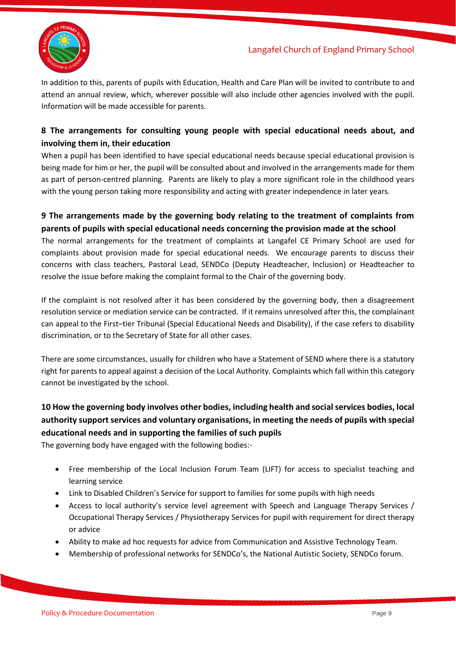

In addition to this, parents of pupils with Education, Health and Care Plan will be invited to contribute to and attend an annual review, which, wherever possible will also include other agencies involved with the pupil. Information will be made accessible for parents.

## **8 The arrangements for consulting young people with special educational needs about, and involving them in, their education**

When a pupil has been identified to have special educational needs because special educational provision is being made for him or her, the pupil will be consulted about and involved in the arrangements made for them as part of person-centred planning. Parents are likely to play a more significant role in the childhood years with the young person taking more responsibility and acting with greater independence in later years.

## **9 The arrangements made by the governing body relating to the treatment of complaints from parents of pupils with special educational needs concerning the provision made at the school**

The normal arrangements for the treatment of complaints at Langafel CE Primary School are used for complaints about provision made for special educational needs. We encourage parents to discuss their concerns with class teachers, Pastoral Lead, SENDCo (Deputy Headteacher, Inclusion) or Headteacher to resolve the issue before making the complaint formal to the Chair of the governing body.

If the complaint is not resolved after it has been considered by the governing body, then a disagreement resolution service or mediation service can be contracted. If it remains unresolved after this, the complainant can appeal to the First–tier Tribunal (Special Educational Needs and Disability), if the case refers to disability discrimination, or to the Secretary of State for all other cases.

There are some circumstances, usually for children who have a Statement of SEND where there is a statutory right for parents to appeal against a decision of the Local Authority. Complaints which fall within this category cannot be investigated by the school.

## **10 How the governing body involves other bodies, including health and social services bodies, local authority support services and voluntary organisations, in meeting the needs of pupils with special educational needs and in supporting the families of such pupils**

The governing body have engaged with the following bodies:-

- Free membership of the Local Inclusion Forum Team (LIFT) for access to specialist teaching and learning service
- Link to Disabled Children's Service for support to families for some pupils with high needs
- Access to local authority's service level agreement with Speech and Language Therapy Services / Occupational Therapy Services / Physiotherapy Services for pupil with requirement for direct therapy or advice
- Ability to make ad hoc requests for advice from Communication and Assistive Technology Team.
- Membership of professional networks for SENDCo's, the National Autistic Society, SENDCo forum.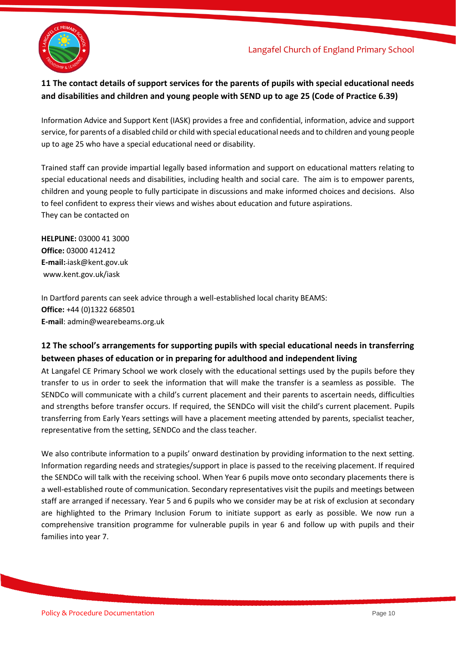



## **11 The contact details of support services for the parents of pupils with special educational needs and disabilities and children and young people with SEND up to age 25 (Code of Practice 6.39)**

Information Advice and Support Kent (IASK) provides a free and confidential, information, advice and support service, for parents of a disabled child or child with special educational needs and to children and young people up to age 25 who have a special educational need or disability.

Trained staff can provide impartial legally based information and support on educational matters relating to special educational needs and disabilities, including health and social care. The aim is to empower parents, children and young people to fully participate in discussions and make informed choices and decisions. Also to feel confident to express their views and wishes about education and future aspirations. They can be contacted on

**HELPLINE:** 03000 41 3000 **Office:** 03000 412412 **E-mail:** iask@kent.gov.uk [www.kent.gov.uk/iask](http://www.kent.gov.uk/iask)

In Dartford parents can seek advice through a well-established local charity BEAMS: **Office:** +44 (0)1322 668501 **E-mail**: admin@wearebeams.org.uk

## **12 The school's arrangements for supporting pupils with special educational needs in transferring between phases of education or in preparing for adulthood and independent living**

At Langafel CE Primary School we work closely with the educational settings used by the pupils before they transfer to us in order to seek the information that will make the transfer is a seamless as possible. The SENDCo will communicate with a child's current placement and their parents to ascertain needs, difficulties and strengths before transfer occurs. If required, the SENDCo will visit the child's current placement. Pupils transferring from Early Years settings will have a placement meeting attended by parents, specialist teacher, representative from the setting, SENDCo and the class teacher.

We also contribute information to a pupils' onward destination by providing information to the next setting. Information regarding needs and strategies/support in place is passed to the receiving placement. If required the SENDCo will talk with the receiving school. When Year 6 pupils move onto secondary placements there is a well-established route of communication. Secondary representatives visit the pupils and meetings between staff are arranged if necessary. Year 5 and 6 pupils who we consider may be at risk of exclusion at secondary are highlighted to the Primary Inclusion Forum to initiate support as early as possible. We now run a comprehensive transition programme for vulnerable pupils in year 6 and follow up with pupils and their families into year 7.